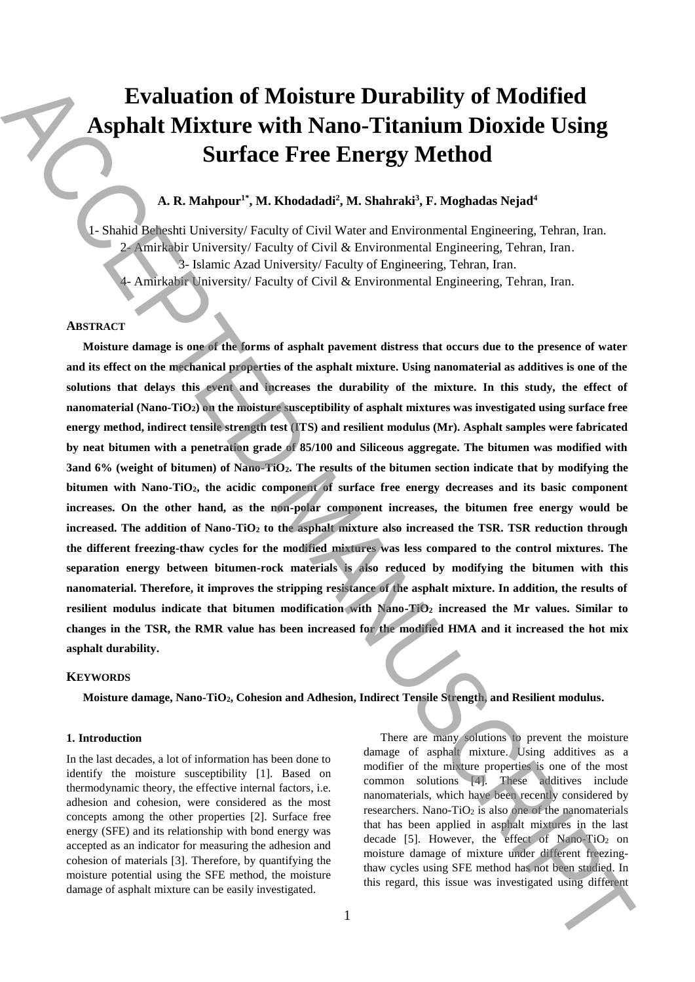# **Evaluation of Moisture Durability of Modified Asphalt Mixture with Nano-Titanium Dioxide Using Surface Free Energy Method**

# **A. R. Mahpour1\* , M. Khodadadi<sup>2</sup> , M. Shahraki<sup>3</sup> , F. Moghadas Nejad<sup>4</sup>**

1- Shahid Beheshti University/ Faculty of Civil Water and Environmental Engineering, Tehran, Iran. 2- Amirkabir University/ Faculty of Civil & Environmental Engineering, Tehran, Iran. 3- Islamic Azad University/ Faculty of Engineering, Tehran, Iran. 4- Amirkabir University/ Faculty of Civil & Environmental Engineering, Tehran, Iran.

## **ABSTRACT**

**Moisture damage is one of the forms of asphalt pavement distress that occurs due to the presence of water and its effect on the mechanical properties of the asphalt mixture. Using nanomaterial as additives is one of the solutions that delays this event and increases the durability of the mixture. In this study, the effect of nanomaterial (Nano-TiO2) on the moisture susceptibility of asphalt mixtures was investigated using surface free energy method, indirect tensile strength test (ITS) and resilient modulus (Mr). Asphalt samples were fabricated by neat bitumen with a penetration grade of 85/100 and Siliceous aggregate. The bitumen was modified with 3and 6% (weight of bitumen) of Nano-TiO2. The results of the bitumen section indicate that by modifying the bitumen with Nano-TiO2, the acidic component of surface free energy decreases and its basic component increases. On the other hand, as the non-polar component increases, the bitumen free energy would be increased. The addition of Nano-TiO<sup>2</sup> to the asphalt mixture also increased the TSR. TSR reduction through the different freezing-thaw cycles for the modified mixtures was less compared to the control mixtures. The separation energy between bitumen-rock materials is also reduced by modifying the bitumen with this nanomaterial. Therefore, it improves the stripping resistance of the asphalt mixture. In addition, the results of resilient modulus indicate that bitumen modification with Nano-TiO<sup>2</sup> increased the Mr values. Similar to changes in the TSR, the RMR value has been increased for the modified HMA and it increased the hot mix asphalt durability. Example 11 MIX (For Access 11 MIX)** Concerns and the state of the state of the state of the state of the state of the state of the state of the state of the state of the state of the state of the state of the state of th

#### **KEYWORDS**

**Moisture damage, Nano-TiO2, Cohesion and Adhesion, Indirect Tensile Strength, and Resilient modulus.**

#### **1. Introduction**

In the last decades, a lot of information has been done to identify the moisture susceptibility [1]. Based on thermodynamic theory, the effective internal factors, i.e. adhesion and cohesion, were considered as the most concepts among the other properties [2]. Surface free energy (SFE) and its relationship with bond energy was accepted as an indicator for measuring the adhesion and cohesion of materials [3]. Therefore, by quantifying the moisture potential using the SFE method, the moisture damage of asphalt mixture can be easily investigated.

There are many solutions to prevent the moisture damage of asphalt mixture. Using additives as a modifier of the mixture properties is one of the most common solutions [4]. These additives include nanomaterials, which have been recently considered by researchers. Nano-Ti $O_2$  is also one of the nanomaterials that has been applied in asphalt mixtures in the last decade [5]. However, the effect of Nano-TiO<sub>2</sub> on moisture damage of mixture under different freezingthaw cycles using SFE method has not been studied. In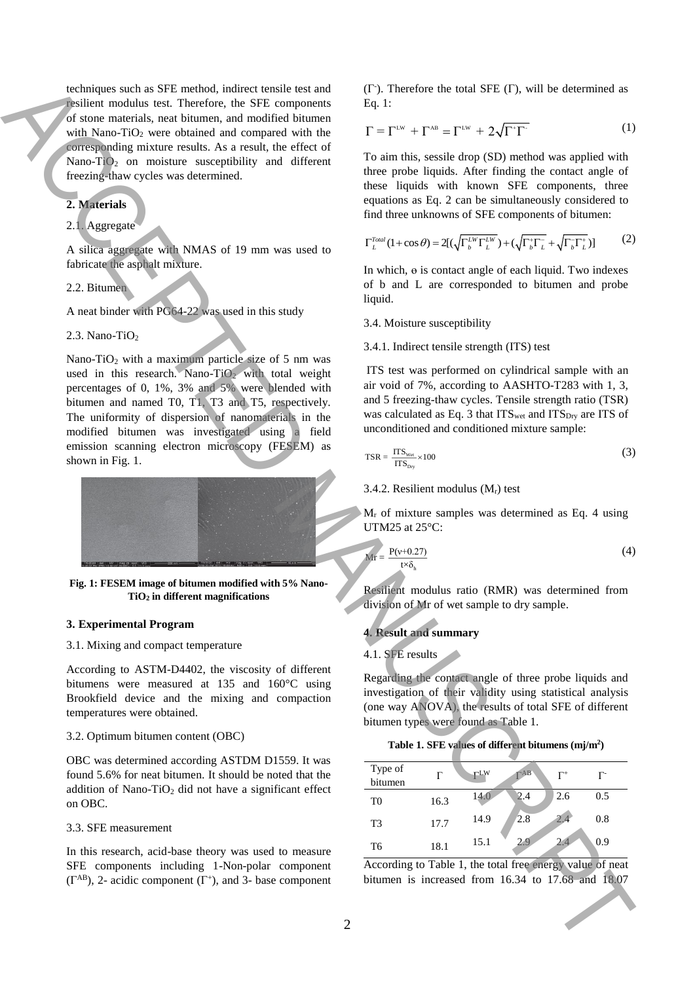techniques such as SFE method, indirect tensile test and resilient modulus test. Therefore, the SFE components of stone materials, neat bitumen, and modified bitumen with Nano-TiO<sub>2</sub> were obtained and compared with the corresponding mixture results. As a result, the effect of Nano-Ti $O_2$  on moisture susceptibility and different freezing-thaw cycles was determined.

# **2. Materials**

# 2.1. Aggregate

A silica aggregate with NMAS of 19 mm was used to fabricate the asphalt mixture.

## 2.2. Bitumen

A neat binder with PG64-22 was used in this study

2.3. Nano-Ti $O<sub>2</sub>$ 

Nano-TiO<sup>2</sup> with a maximum particle size of 5 nm was used in this research. Nano-TiO<sub>2</sub> with total weight percentages of 0, 1%, 3% and 5% were blended with bitumen and named T0, T1, T3 and T5, respectively. The uniformity of dispersion of nanomaterials in the modified bitumen was investigated using a field emission scanning electron microscopy (FESEM) as shown in Fig. 1. Solution units introduced in the state of the state of the state of the state of the state of the state of the state of the state of the state of the state of the state of the state of the state of the state of the state



**Fig. 1: FESEM image of bitumen modified with 5% Nano-TiO<sup>2</sup> in different magnifications**

#### **3. Experimental Program**

## 3.1. Mixing and compact temperature

According to ASTM-D4402, the viscosity of different bitumens were measured at 135 and 160°C using Brookfield device and the mixing and compaction temperatures were obtained.

#### 3.2. Optimum bitumen content (OBC)

OBC was determined according ASTDM D1559. It was found 5.6% for neat bitumen. It should be noted that the addition of Nano-TiO<sub>2</sub> did not have a significant effect on OBC.

#### 3.3. SFE measurement

In this research, acid-base theory was used to measure SFE components including 1-Non-polar component  $(\Gamma^{AB})$ , 2- acidic component  $(\Gamma^+)$ , and 3- base component

 $(\Gamma)$ . Therefore the total SFE  $(\Gamma)$ , will be determined as Eq. 1:

$$
\Gamma = \Gamma^{\text{Lw}} + \Gamma^{\text{AB}} = \Gamma^{\text{Lw}} + 2\sqrt{\Gamma^{\dagger}\Gamma^{\dagger}}
$$
 (1)

To aim this, sessile drop (SD) method was applied with three probe liquids. After finding the contact angle of these liquids with known SFE components, three equations as Eq. 2 can be simultaneously considered to find three unknowns of SFE components of bitumen:

$$
\Gamma_L^{Total}(1+\cos\theta) = 2[(\sqrt{\Gamma_b^{LW}\Gamma_L^{LW}}) + (\sqrt{\Gamma_b^+\Gamma_L^-} + \sqrt{\Gamma_b^-\Gamma_L^+})]
$$
(2)

In which, ɵ is contact angle of each liquid. Two indexes of b and L are corresponded to bitumen and probe liquid.

#### 3.4. Moisture susceptibility

3.4.1. Indirect tensile strength (ITS) test

ITS test was performed on cylindrical sample with an air void of 7%, according to AASHTO-T283 with 1, 3, and 5 freezing-thaw cycles. Tensile strength ratio (TSR) was calculated as Eq. 3 that ITS<sub>wet</sub> and ITS<sub>Dry</sub> are ITS of unconditioned and conditioned mixture sample:

$$
\text{TSR} = \frac{\text{ITS}_{\text{w}}}{\text{ITS}_{\text{bry}}} \times 100\tag{3}
$$

#### 3.4.2. Resilient modulus  $(M_r)$  test

 $M_r$  of mixture samples was determined as Eq. 4 using UTM25 at 25°C:

$$
\frac{P(v+0.27)}{tx\delta_h} \tag{4}
$$

Resilient modulus ratio (RMR) was determined from division of Mr of wet sample to dry sample.

## **4. Result and summary**

#### 4.1. SFE results

 $Mr$ 

Regarding the contact angle of three probe liquids and investigation of their validity using statistical analysis (one way ANOVA), the results of total SFE of different bitumen types were found as Table 1.

|  |  |  |  |  | Table 1. SFE values of different bitumens $(mj/m2)$ |  |
|--|--|--|--|--|-----------------------------------------------------|--|
|--|--|--|--|--|-----------------------------------------------------|--|

| Type of<br>bitumen | г    | <b>rlw</b> | $\mathbf{r}$ AB | $\Gamma^+$ | г-  |
|--------------------|------|------------|-----------------|------------|-----|
| T <sub>0</sub>     | 16.3 | 14.0       | 2.4             | 2.6        | 0.5 |
| T <sub>3</sub>     | 17.7 | 14.9       | 2.8             |            | 0.8 |
| T6                 | 18.1 | 15.1       | 2.9             | 2.4        | 0.9 |

According to Table 1, the total free energy value of neat